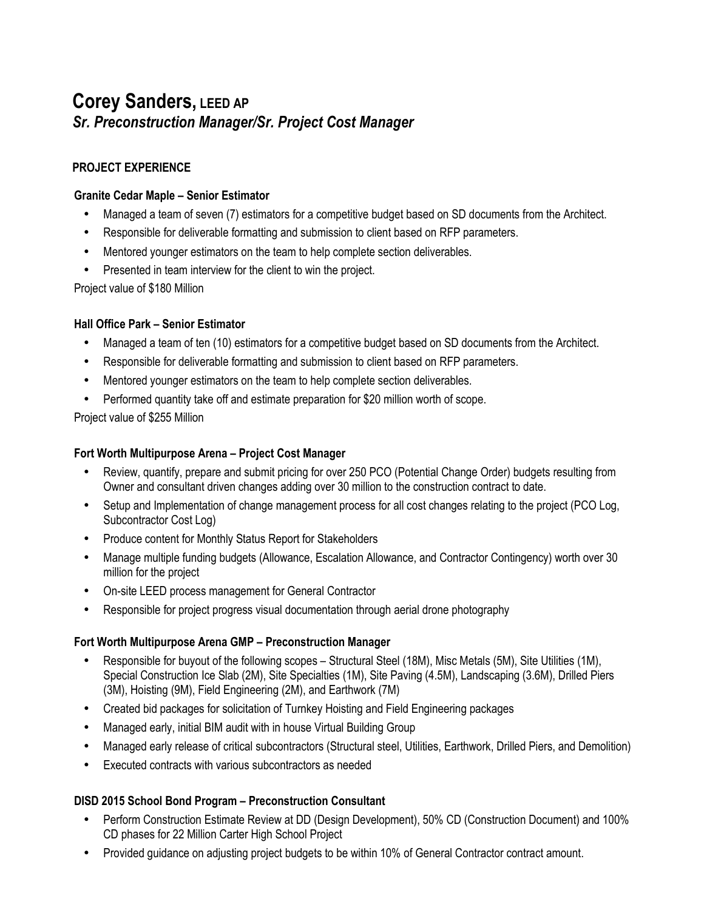# **Corey Sanders, LEED AP** *Sr. Preconstruction Manager/Sr. Project Cost Manager*

# **PROJECT EXPERIENCE**

### **Granite Cedar Maple – Senior Estimator**

- Managed a team of seven (7) estimators for a competitive budget based on SD documents from the Architect.
- Responsible for deliverable formatting and submission to client based on RFP parameters.
- Mentored younger estimators on the team to help complete section deliverables.
- Presented in team interview for the client to win the project.

Project value of \$180 Million

#### **Hall Office Park – Senior Estimator**

- Managed a team of ten (10) estimators for a competitive budget based on SD documents from the Architect.
- Responsible for deliverable formatting and submission to client based on RFP parameters.
- Mentored younger estimators on the team to help complete section deliverables.
- Performed quantity take off and estimate preparation for \$20 million worth of scope.

Project value of \$255 Million

## **Fort Worth Multipurpose Arena – Project Cost Manager**

- Review, quantify, prepare and submit pricing for over 250 PCO (Potential Change Order) budgets resulting from Owner and consultant driven changes adding over 30 million to the construction contract to date.
- Setup and Implementation of change management process for all cost changes relating to the project (PCO Log, Subcontractor Cost Log)
- Produce content for Monthly Status Report for Stakeholders
- Manage multiple funding budgets (Allowance, Escalation Allowance, and Contractor Contingency) worth over 30 million for the project
- On-site LEED process management for General Contractor
- Responsible for project progress visual documentation through aerial drone photography

# **Fort Worth Multipurpose Arena GMP – Preconstruction Manager**

- Responsible for buyout of the following scopes Structural Steel (18M), Misc Metals (5M), Site Utilities (1M), Special Construction Ice Slab (2M), Site Specialties (1M), Site Paving (4.5M), Landscaping (3.6M), Drilled Piers (3M), Hoisting (9M), Field Engineering (2M), and Earthwork (7M)
- Created bid packages for solicitation of Turnkey Hoisting and Field Engineering packages
- Managed early, initial BIM audit with in house Virtual Building Group
- Managed early release of critical subcontractors (Structural steel, Utilities, Earthwork, Drilled Piers, and Demolition)
- Executed contracts with various subcontractors as needed

# **DISD 2015 School Bond Program – Preconstruction Consultant**

- Perform Construction Estimate Review at DD (Design Development), 50% CD (Construction Document) and 100% CD phases for 22 Million Carter High School Project
- Provided guidance on adjusting project budgets to be within 10% of General Contractor contract amount.